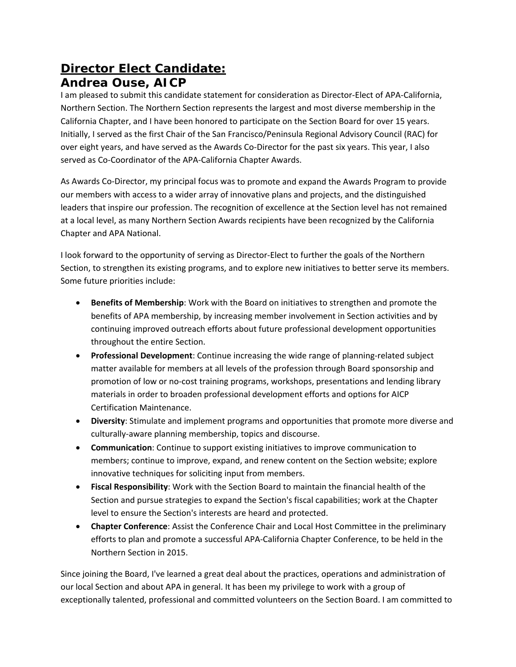## **Director Elect Candidate: Andrea Ouse, AICP**

I am pleased to submit this candidate statement for consideration as Director‐Elect of APA‐California, Northern Section. The Northern Section represents the largest and most diverse membership in the California Chapter, and I have been honored to participate on the Section Board for over 15 years. Initially, I served as the first Chair of the San Francisco/Peninsula Regional Advisory Council (RAC) for over eight years, and have served as the Awards Co‐Director for the past six years. This year, I also served as Co-Coordinator of the APA-California Chapter Awards.

As Awards Co‐Director, my principal focus was to promote and expand the Awards Program to provide our members with access to a wider array of innovative plans and projects, and the distinguished leaders that inspire our profession. The recognition of excellence at the Section level has not remained at a local level, as many Northern Section Awards recipients have been recognized by the California Chapter and APA National.

I look forward to the opportunity of serving as Director‐Elect to further the goals of the Northern Section, to strengthen its existing programs, and to explore new initiatives to better serve its members. Some future priorities include:

- **Benefits of Membership**: Work with the Board on initiatives to strengthen and promote the benefits of APA membership, by increasing member involvement in Section activities and by continuing improved outreach efforts about future professional development opportunities throughout the entire Section.
- **Professional Development**: Continue increasing the wide range of planning-related subject matter available for members at all levels of the profession through Board sponsorship and promotion of low or no‐cost training programs, workshops, presentations and lending library materials in order to broaden professional development efforts and options for AICP Certification Maintenance.
- **Diversity**: Stimulate and implement programs and opportunities that promote more diverse and culturally‐aware planning membership, topics and discourse.
- **Communication**: Continue to support existing initiatives to improve communication to members; continue to improve, expand, and renew content on the Section website; explore innovative techniques for soliciting input from members.
- **Fiscal Responsibility**: Work with the Section Board to maintain the financial health of the Section and pursue strategies to expand the Section's fiscal capabilities; work at the Chapter level to ensure the Section's interests are heard and protected.
- **Chapter Conference**: Assist the Conference Chair and Local Host Committee in the preliminary efforts to plan and promote a successful APA‐California Chapter Conference, to be held in the Northern Section in 2015.

Since joining the Board, I've learned a great deal about the practices, operations and administration of our local Section and about APA in general. It has been my privilege to work with a group of exceptionally talented, professional and committed volunteers on the Section Board. I am committed to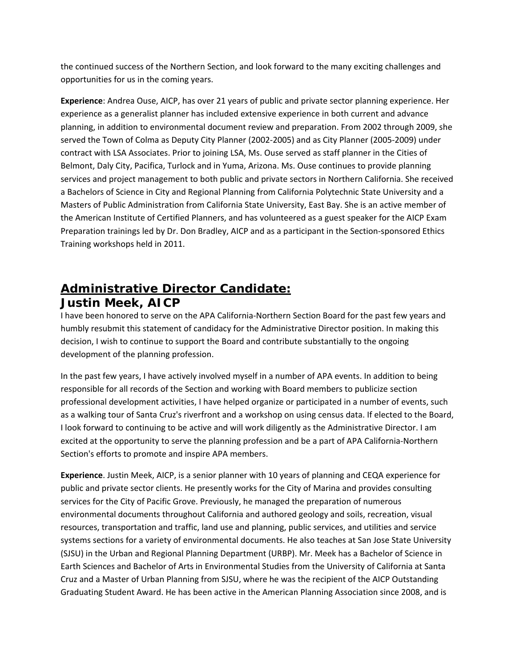the continued success of the Northern Section, and look forward to the many exciting challenges and opportunities for us in the coming years.

**Experience**: Andrea Ouse, AICP, has over 21 years of public and private sector planning experience. Her experience as a generalist planner has included extensive experience in both current and advance planning, in addition to environmental document review and preparation. From 2002 through 2009, she served the Town of Colma as Deputy City Planner (2002‐2005) and as City Planner (2005‐2009) under contract with LSA Associates. Prior to joining LSA, Ms. Ouse served as staff planner in the Cities of Belmont, Daly City, Pacifica, Turlock and in Yuma, Arizona. Ms. Ouse continues to provide planning services and project management to both public and private sectors in Northern California. She received a Bachelors of Science in City and Regional Planning from California Polytechnic State University and a Masters of Public Administration from California State University, East Bay. She is an active member of the American Institute of Certified Planners, and has volunteered as a guest speaker for the AICP Exam Preparation trainings led by Dr. Don Bradley, AICP and as a participant in the Section‐sponsored Ethics Training workshops held in 2011.

## **Administrative Director Candidate: Justin Meek, AICP**

I have been honored to serve on the APA California‐Northern Section Board for the past few years and humbly resubmit this statement of candidacy for the Administrative Director position. In making this decision, I wish to continue to support the Board and contribute substantially to the ongoing development of the planning profession.

In the past few years, I have actively involved myself in a number of APA events. In addition to being responsible for all records of the Section and working with Board members to publicize section professional development activities, I have helped organize or participated in a number of events, such as a walking tour of Santa Cruz's riverfront and a workshop on using census data. If elected to the Board, I look forward to continuing to be active and will work diligently as the Administrative Director. I am excited at the opportunity to serve the planning profession and be a part of APA California‐Northern Section's efforts to promote and inspire APA members.

**Experience**. Justin Meek, AICP, is a senior planner with 10 years of planning and CEQA experience for public and private sector clients. He presently works for the City of Marina and provides consulting services for the City of Pacific Grove. Previously, he managed the preparation of numerous environmental documents throughout California and authored geology and soils, recreation, visual resources, transportation and traffic, land use and planning, public services, and utilities and service systems sections for a variety of environmental documents. He also teaches at San Jose State University (SJSU) in the Urban and Regional Planning Department (URBP). Mr. Meek has a Bachelor of Science in Earth Sciences and Bachelor of Arts in Environmental Studies from the University of California at Santa Cruz and a Master of Urban Planning from SJSU, where he was the recipient of the AICP Outstanding Graduating Student Award. He has been active in the American Planning Association since 2008, and is